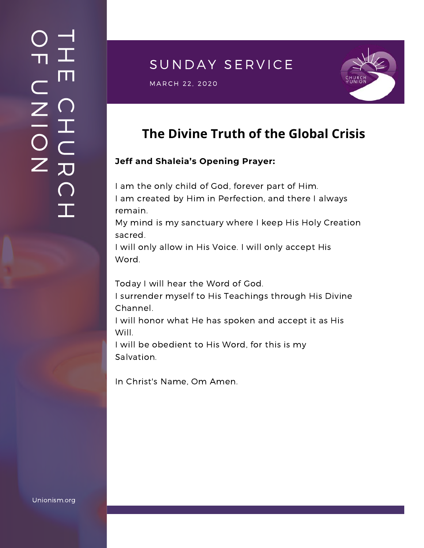## SUNDAY SERVICE

S U N D A Y S E R V I C E M A R C H 2 2 , 2020



# **The Divine Truth of the Global Crisis**

#### **Jeff and Shaleia's Opening Prayer:**

I am the only child of God, forever part of Him. I am created by Him in Perfection, and there I always remain.

My mind is my sanctuary where I keep His Holy Creation sacred.

I will only allow in His Voice. I will only accept His Word.

Today I will hear the Word of God.

I surrender myself to His Teachings through His Divine Channel.

I will honor what He has spoken and accept it as His Will.

I will be obedient to His Word, for this is my Salvation.

In Christ's Name, Om Amen.